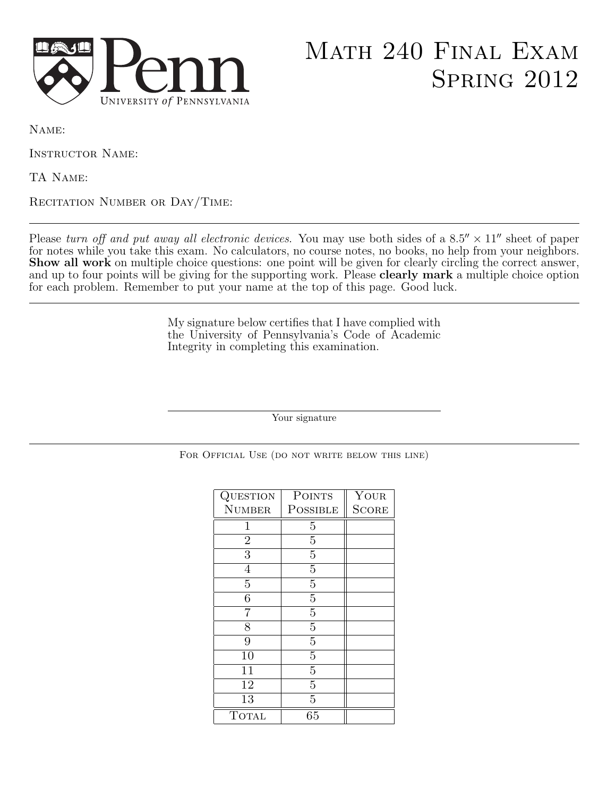

## Math 240 Final Exam Spring 2012

Name:

Instructor Name:

TA Name:

RECITATION NUMBER OR DAY/TIME:

Please turn off and put away all electronic devices. You may use both sides of a  $8.5'' \times 11''$  sheet of paper for notes while you take this exam. No calculators, no course notes, no books, no help from your neighbors. Show all work on multiple choice questions: one point will be given for clearly circling the correct answer, and up to four points will be giving for the supporting work. Please **clearly mark** a multiple choice option for each problem. Remember to put your name at the top of this page. Good luck.

> My signature below certifies that I have complied with the University of Pennsylvania's Code of Academic Integrity in completing this examination.

> > Your signature

FOR OFFICIAL USE (DO NOT WRITE BELOW THIS LINE)

| QUESTION        | <b>POINTS</b>  | $\overline{\mathrm{Y}}{}_{\mathrm{OUR}}$ |
|-----------------|----------------|------------------------------------------|
| <b>NUMBER</b>   | POSSIBLE       | <b>SCORE</b>                             |
| 1               | 5              |                                          |
| $\overline{2}$  | $\overline{5}$ |                                          |
| $\overline{3}$  | $\overline{5}$ |                                          |
| $\overline{4}$  | $\overline{5}$ |                                          |
| $\overline{5}$  | $\overline{5}$ |                                          |
| 6               | $\overline{5}$ |                                          |
|                 | $\overline{5}$ |                                          |
| 8               | $\overline{5}$ |                                          |
| 9               | $\overline{5}$ |                                          |
| 10              | $\overline{5}$ |                                          |
| 11              | $\overline{5}$ |                                          |
| 12              | 5              |                                          |
| $\overline{13}$ | $\overline{5}$ |                                          |
| <b>TOTAL</b>    | 65             |                                          |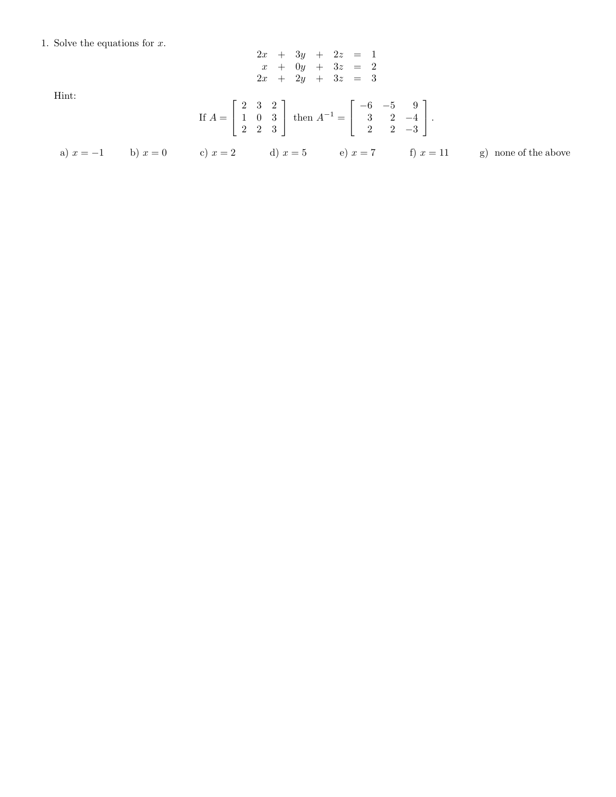1. Solve the equations for  $x$ .

Hint:

$$
2x + 3y + 2z = 1
$$
  
\n
$$
x + 0y + 3z = 2
$$
  
\n
$$
2x + 2y + 3z = 3
$$
  
\nIf  $A = \begin{bmatrix} 2 & 3 & 2 \\ 1 & 0 & 3 \\ 2 & 2 & 3 \end{bmatrix}$  then  $A^{-1} = \begin{bmatrix} -6 & -5 & 9 \\ 3 & 2 & -4 \\ 2 & 2 & -3 \end{bmatrix}$ .

a)  $x = -1$  b)  $x = 0$  c)  $x = 2$  d)  $x = 5$  e)  $x = 7$  f)  $x = 11$  g) none of the above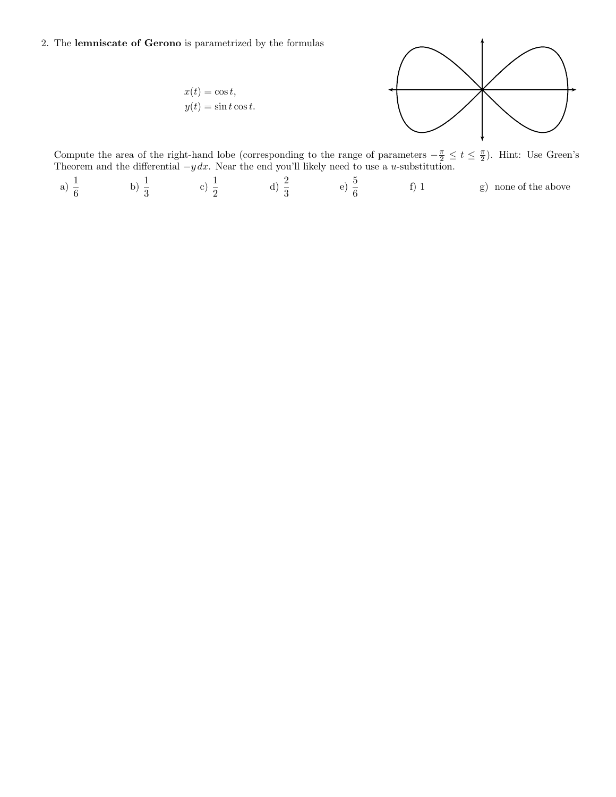## 2. The lemniscate of Gerono is parametrized by the formulas

 $x(t) = \cos t,$  $y(t) = \sin t \cos t.$ 



Compute the area of the right-hand lobe (corresponding to the range of parameters  $-\frac{\pi}{2} \le t \le \frac{\pi}{2}$ ). Hint: Use Green's Theorem and the differential  $-y dx$ . Near the end you'll likely need to use a u-substitution.

a)  $\frac{1}{6}$ b)  $\frac{1}{3}$ c)  $\frac{1}{2}$  d)  $\frac{2}{3}$  e)  $\frac{5}{6}$ f) 1 g) none of the above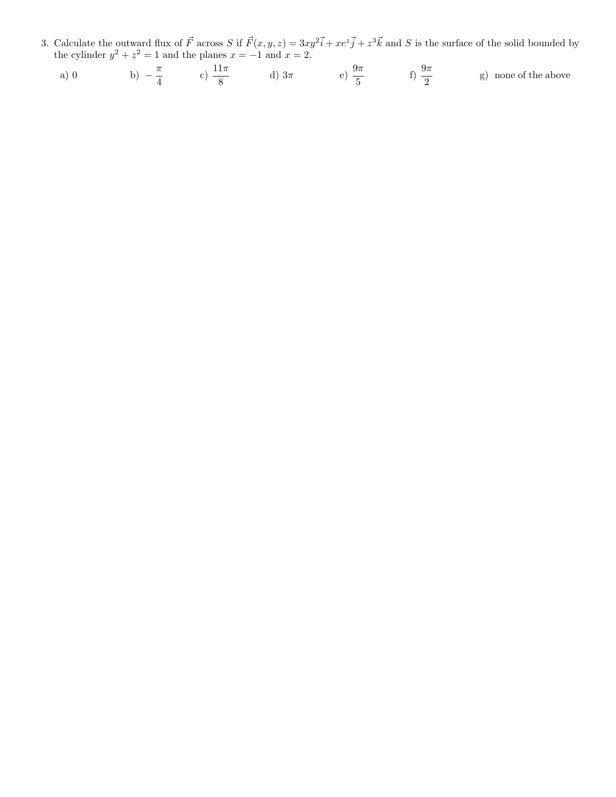3. Calculate the outward flux of  $\vec{F}$  across S if  $\vec{F}(x, y, z) = 3xy^2\vec{i} + xe^z\vec{j} + z^3\vec{k}$  and S is the surface of the solid bounded by the cylinder  $y^2 + z^2 = 1$  and the planes  $x = -1$  and  $x = 2$ .

a) 0 \t\t b) 
$$
-\frac{\pi}{4}
$$
 \t c)  $\frac{11\pi}{8}$  \t d)  $3\pi$  \t e)  $\frac{9\pi}{5}$  \t f)  $\frac{9\pi}{2}$  \t g) none of the above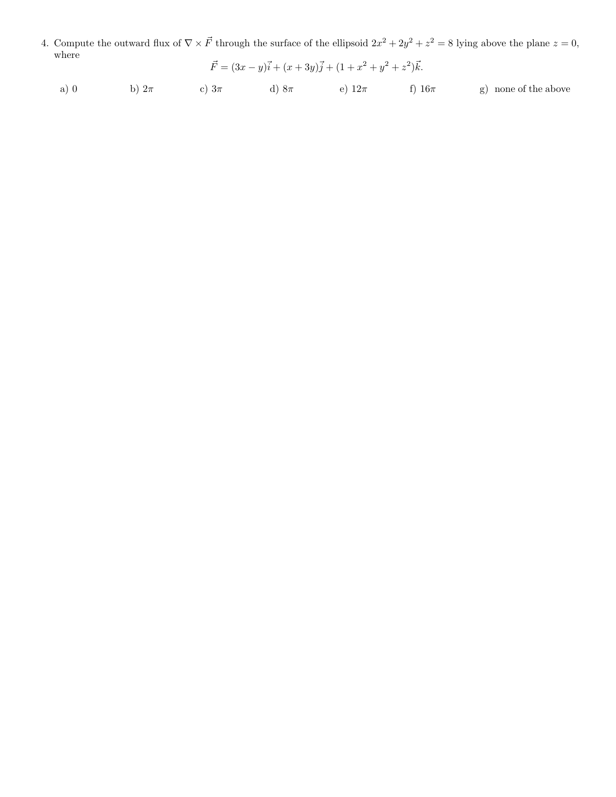4. Compute the outward flux of  $\nabla \times \vec{F}$  through the surface of the ellipsoid  $2x^2 + 2y^2 + z^2 = 8$  lying above the plane  $z = 0$ , where

$$
\vec{F} = (3x - y)\vec{i} + (x + 3y)\vec{j} + (1 + x^2 + y^2 + z^2)\vec{k}.
$$

a) 0 b)  $2\pi$  c)  $3\pi$  d)  $8\pi$  e)  $12\pi$  f)  $16\pi$  g) none of the above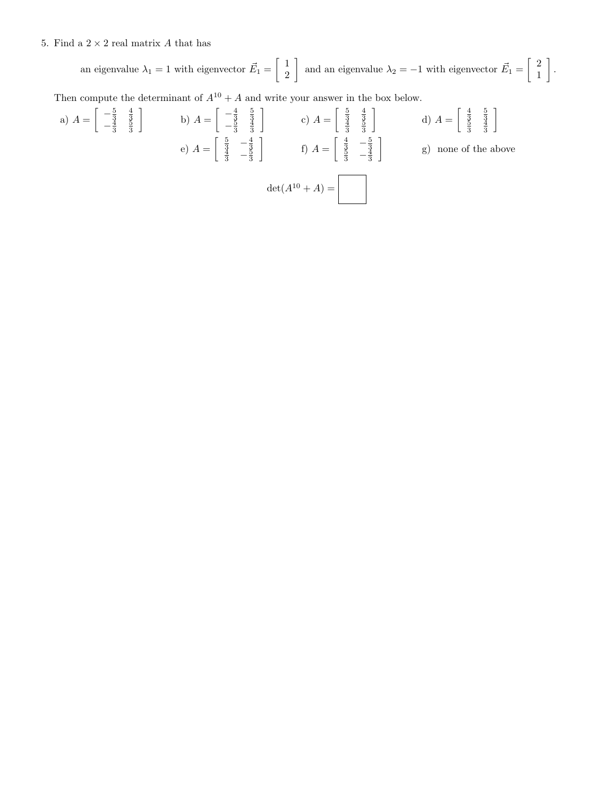## 5. Find a  $2\times 2$  real matrix  $A$  that has

an eigenvalue  $\lambda_1 = 1$  with eigenvector  $\vec{E}_1 = \begin{bmatrix} 1 \\ 2 \end{bmatrix}$  and an eigenvalue  $\lambda_2 = -1$  with eigenvector  $\vec{E}_1 = \begin{bmatrix} 2 \\ 1 \end{bmatrix}$  .

Then compute the determinant of  $A^{10} + A$  and write your answer in the box below.

a) 
$$
A = \begin{bmatrix} -\frac{5}{3} & \frac{4}{3} \\ -\frac{4}{3} & \frac{3}{3} \end{bmatrix}
$$
 b)  $A = \begin{bmatrix} -\frac{4}{3} & \frac{5}{3} \\ -\frac{3}{3} & \frac{4}{3} \end{bmatrix}$  c)  $A = \begin{bmatrix} \frac{5}{3} & \frac{4}{3} \\ \frac{4}{3} & \frac{5}{3} \end{bmatrix}$  d)  $A = \begin{bmatrix} \frac{4}{3} & \frac{5}{3} \\ \frac{4}{3} & \frac{4}{3} \end{bmatrix}$   
e)  $A = \begin{bmatrix} \frac{5}{3} & -\frac{4}{3} \\ \frac{4}{3} & -\frac{5}{3} \end{bmatrix}$  f)  $A = \begin{bmatrix} \frac{4}{3} & -\frac{5}{3} \\ \frac{8}{3} & -\frac{4}{3} \end{bmatrix}$  g) none of the above  
 $det(A^{10} + A) = \begin{bmatrix} \frac{4}{3} & -\frac{5}{3} \\ \frac{1}{3} & -\frac{1}{3} \end{bmatrix}$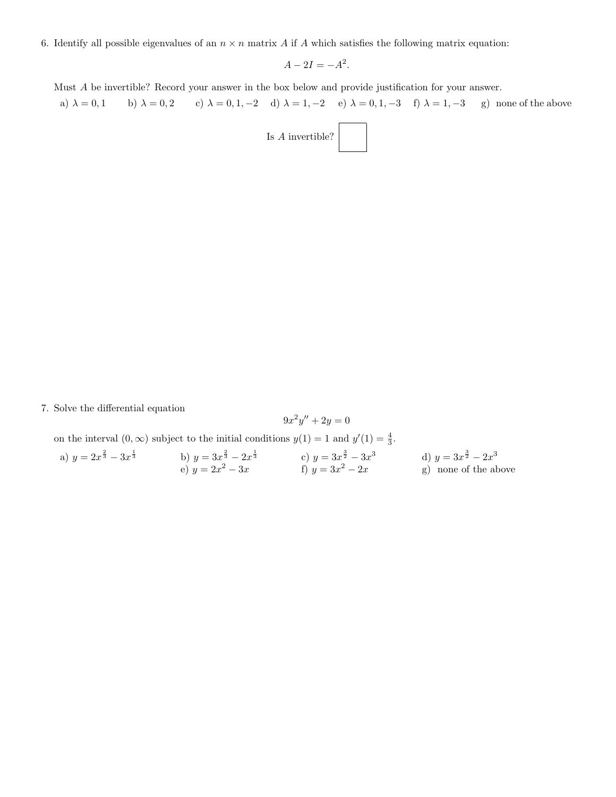6. Identify all possible eigenvalues of an  $n \times n$  matrix A if A which satisfies the following matrix equation:

 $A - 2I = -A^2$ .

Must A be invertible? Record your answer in the box below and provide justification for your answer.

a)  $\lambda = 0, 1$  b)  $\lambda = 0, 2$  c)  $\lambda = 0, 1, -2$  d)  $\lambda = 1, -2$  e)  $\lambda = 0, 1, -3$  f)  $\lambda = 1, -3$  g) none of the above Is  $A$  invertible?

7. Solve the differential equation

$$
9x^2y'' + 2y = 0
$$

on the interval  $(0, \infty)$  subject to the initial conditions  $y(1) = 1$  and  $y'(1) = \frac{4}{3}$ .

a) 
$$
y = 2x^{\frac{2}{3}} - 3x^{\frac{1}{3}}
$$
  
\nb)  $y = 3x^{\frac{2}{3}} - 2x^{\frac{1}{3}}$   
\nc)  $y = 3x^{\frac{3}{2}} - 3x^3$   
\nd)  $y = 3x^{\frac{3}{2}} - 2x^3$   
\ne)  $y = 2x^2 - 3x$   
\nf)  $y = 3x^2 - 2x$   
\ng) none of the above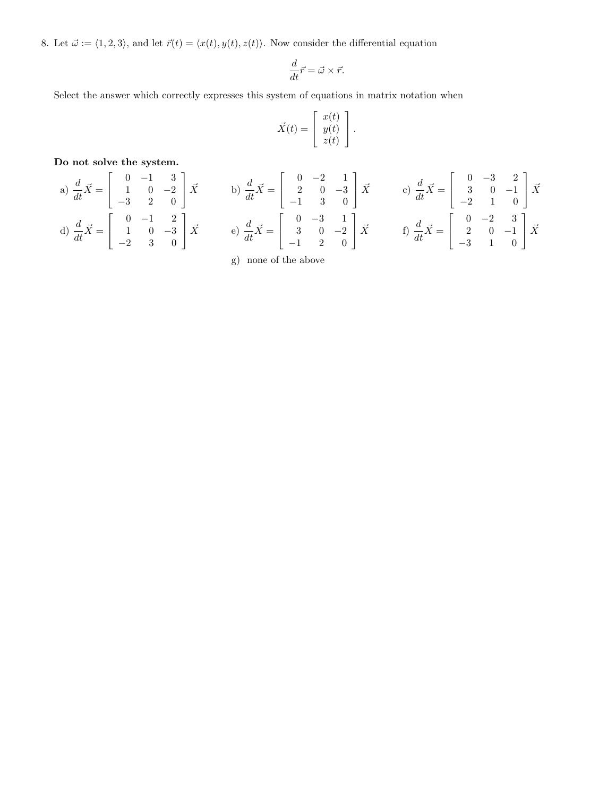8. Let  $\vec{\omega} := \langle 1, 2, 3 \rangle$ , and let  $\vec{r}(t) = \langle x(t), y(t), z(t) \rangle$ . Now consider the differential equation

$$
\frac{d}{dt}\vec{r} = \vec{\omega} \times \vec{r}.
$$

Select the answer which correctly expresses this system of equations in matrix notation when

$$
\vec{X}(t) = \begin{bmatrix} x(t) \\ y(t) \\ z(t) \end{bmatrix}.
$$

1  $\vec{X}$ 

1  $\left| \vec{X} \right|$ 

Do not solve the system.  $\overline{a}$ 

a) 
$$
\frac{d}{dt}\vec{X} = \begin{bmatrix} 0 & -1 & 3 \\ 1 & 0 & -2 \\ -3 & 2 & 0 \end{bmatrix} \vec{X}
$$
  
b)  $\frac{d}{dt}\vec{X} = \begin{bmatrix} 0 & -2 & 1 \\ 2 & 0 & -3 \\ -1 & 3 & 0 \end{bmatrix} \vec{X}$   
c)  $\frac{d}{dt}\vec{X} = \begin{bmatrix} 0 & -3 & 2 \\ 3 & 0 & -1 \\ -2 & 1 & 0 \end{bmatrix}$   
d)  $\frac{d}{dt}\vec{X} = \begin{bmatrix} 0 & -1 & 2 \\ 1 & 0 & -3 \\ -2 & 3 & 0 \end{bmatrix} \vec{X}$   
e)  $\frac{d}{dt}\vec{X} = \begin{bmatrix} 0 & -3 & 1 \\ 3 & 0 & -2 \\ -1 & 2 & 0 \end{bmatrix} \vec{X}$   
f)  $\frac{d}{dt}\vec{X} = \begin{bmatrix} 0 & -2 & 3 \\ 2 & 0 & -1 \\ -3 & 1 & 0 \end{bmatrix}$ 

g) none of the above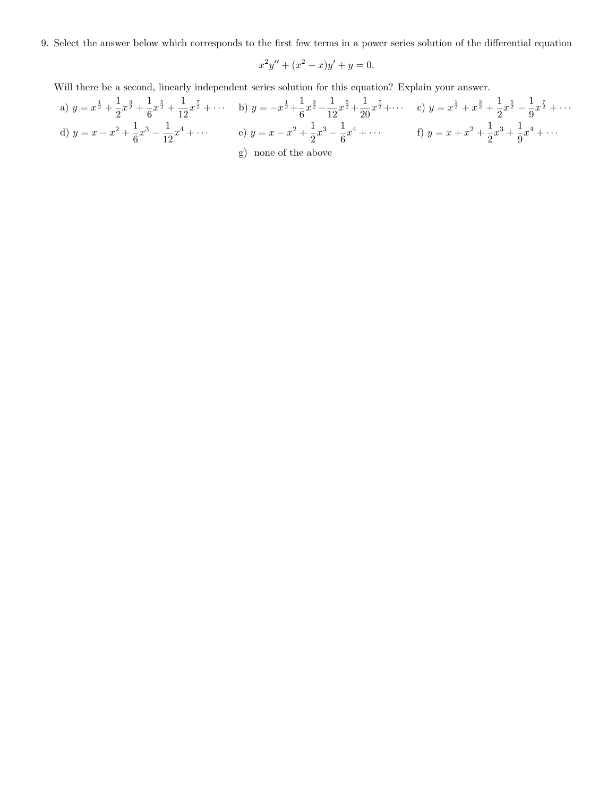9. Select the answer below which corresponds to the first few terms in a power series solution of the differential equation

$$
x^2y'' + (x^2 - x)y' + y = 0.
$$

Will there be a second, linearly independent series solution for this equation? Explain your answer.

a) 
$$
y = x^{\frac{1}{2}} + \frac{1}{2}x^{\frac{3}{2}} + \frac{1}{6}x^{\frac{5}{2}} + \frac{1}{12}x^{\frac{7}{2}} + \cdots
$$
 b)  $y = -x^{\frac{1}{2}} + \frac{1}{6}x^{\frac{3}{2}} - \frac{1}{12}x^{\frac{5}{2}} + \frac{1}{20}x^{\frac{7}{2}} + \cdots$  c)  $y = x^{\frac{1}{2}} + x^{\frac{3}{2}} + \frac{1}{2}x^{\frac{5}{2}} - \frac{1}{9}x^{\frac{7}{2}} + \cdots$   
d)  $y = x - x^2 + \frac{1}{6}x^3 - \frac{1}{12}x^4 + \cdots$  e)  $y = x - x^2 + \frac{1}{2}x^3 - \frac{1}{6}x^4 + \cdots$  f)  $y = x + x^2 + \frac{1}{2}x^3 + \frac{1}{9}x^4 + \cdots$   
g) none of the above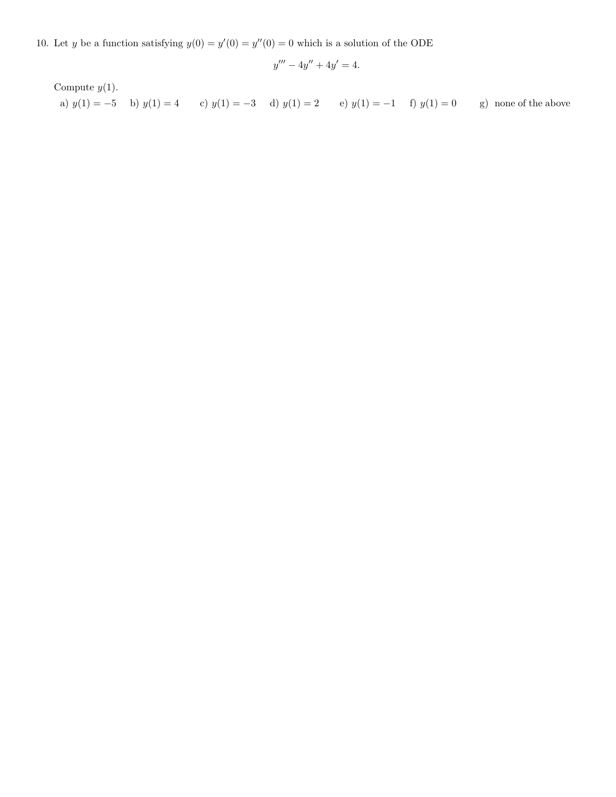10. Let y be a function satisfying  $y(0) = y'(0) = y''(0) = 0$  which is a solution of the ODE

$$
y''' - 4y'' + 4y' = 4.
$$

Compute  $y(1)$ . a)  $y(1) = -5$  b)  $y(1) = 4$  c)  $y(1) = -3$  d)  $y(1) = 2$  e)  $y(1) = -1$  f)  $y(1) = 0$  g) none of the above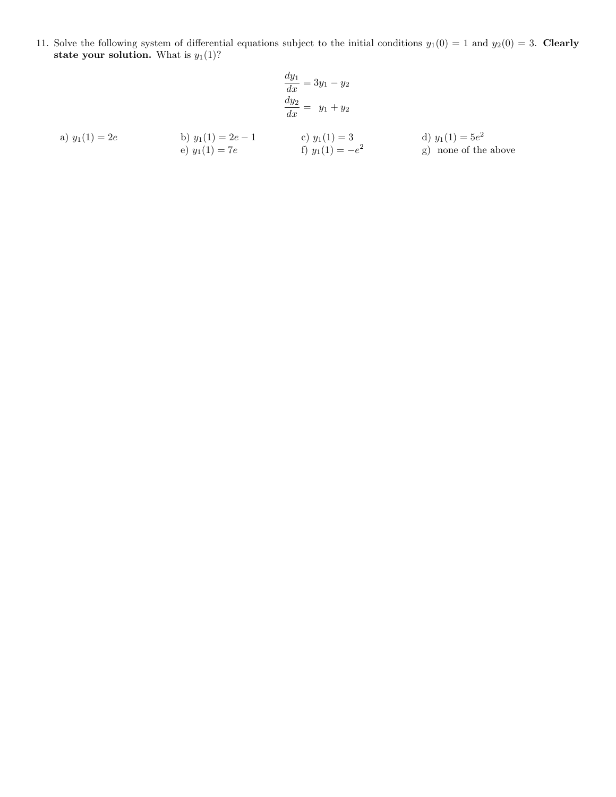11. Solve the following system of differential equations subject to the initial conditions  $y_1(0) = 1$  and  $y_2(0) = 3$ . Clearly state your solution. What is  $y_1(1)$ ?

$$
\frac{dy_1}{dx} = 3y_1 - y_2
$$

$$
\frac{dy_2}{dx} = y_1 + y_2
$$

a) 
$$
y_1(1) = 2e
$$
  
\nb)  $y_1(1) = 2e - 1$   
\nc)  $y_1(1) = 3$   
\nd)  $y_1(1) = 5e^2$   
\ne)  $y_1(1) = 7e$   
\nf)  $y_1(1) = -e^2$   
\ng) none of the above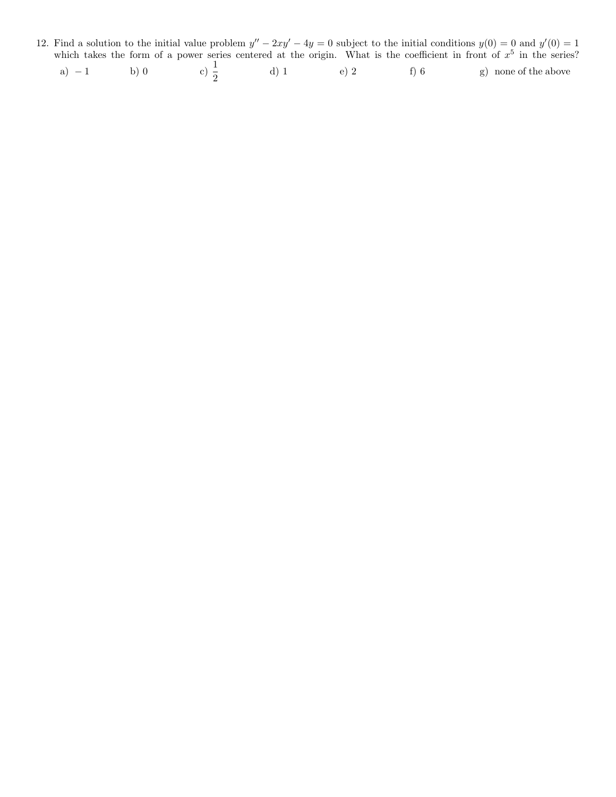12. Find a solution to the initial value problem  $y'' - 2xy' - 4y = 0$  subject to the initial conditions  $y(0) = 0$  and  $y'(0) = 1$ which takes the form of a power series centered at the origin. What is the coefficient in front of  $x^5$  in the series?

| $a) - 1$ | $h \cap$ |  |  | $\Theta$ |  | g) none of the above |
|----------|----------|--|--|----------|--|----------------------|
|----------|----------|--|--|----------|--|----------------------|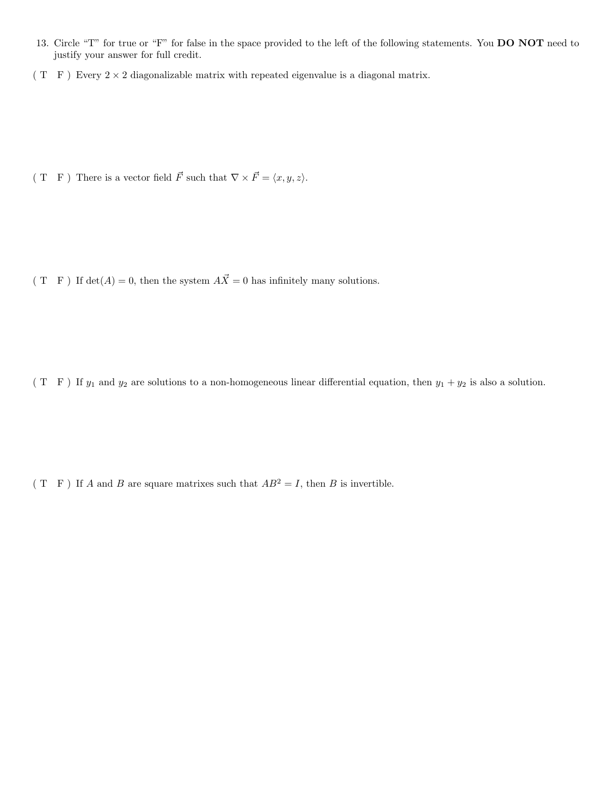- 13. Circle "T" for true or "F" for false in the space provided to the left of the following statements. You DO NOT need to justify your answer for full credit.
- ( T F ) Every  $2 \times 2$  diagonalizable matrix with repeated eigenvalue is a diagonal matrix.

( T F) There is a vector field  $\vec{F}$  such that  $\nabla \times \vec{F} = \langle x, y, z \rangle$ .

( T F ) If  $det(A) = 0$ , then the system  $A\vec{X} = 0$  has infinitely many solutions.

(T F) If  $y_1$  and  $y_2$  are solutions to a non-homogeneous linear differential equation, then  $y_1 + y_2$  is also a solution.

( T F ) If A and B are square matrixes such that  $AB^2 = I$ , then B is invertible.